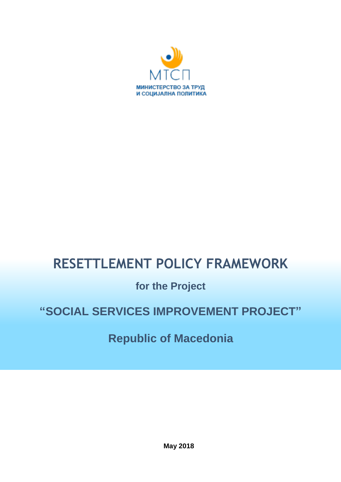

# **RESETTLEMENT POLICY FRAMEWORK**

# **for the Project**

# **"SOCIAL SERVICES IMPROVEMENT PROJECT"**

# **Republic of Macedonia**

**May 2018**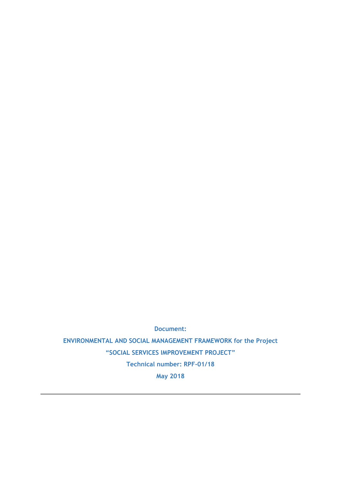**Document:**

**ENVIRONMENTAL AND SOCIAL MANAGEMENT FRAMEWORK for the Project "SOCIAL SERVICES IMPROVEMENT PROJECT" Technical number: RPF-01/18 May 2018**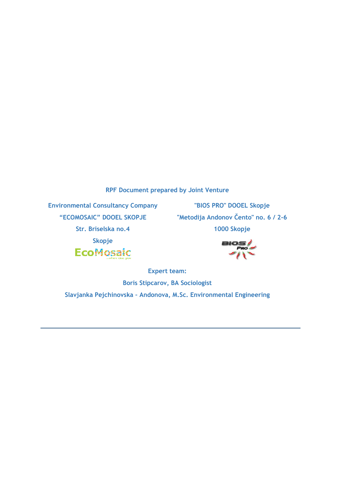**RPF Document prepared by Joint Venture**

**Environmental Consultancy Company "ECOMOSAIC" DOOEL SKOPJE**

**"BIOS PRO" DOOEL Skopje "Metodija Andonov Čento" no. 6 / 2-6 1000 Skopje**

**Str. Briselska no.4**



**BIOS** 

**Expert team: Boris Stipcarov, BA Sociologist Slavjanka Pejchinovska – Andonova, M.Sc. Environmental Engineering**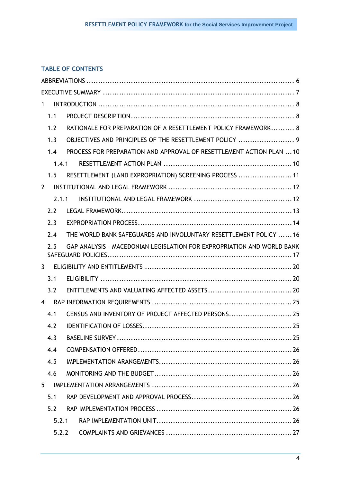# **TABLE OF CONTENTS**

| 1              |                                                                        |
|----------------|------------------------------------------------------------------------|
| 1.1            |                                                                        |
| 1.2            | RATIONALE FOR PREPARATION OF A RESETTLEMENT POLICY FRAMEWORK 8         |
| 1.3            | OBJECTIVES AND PRINCIPLES OF THE RESETTLEMENT POLICY  9                |
| 1.4            | PROCESS FOR PREPARATION AND APPROVAL OF RESETTLEMENT ACTION PLAN  10   |
|                | 1, 4, 1                                                                |
| 1.5            | RESETTLEMENT (LAND EXPROPRIATION) SCREENING PROCESS  11                |
| $\overline{2}$ |                                                                        |
|                | 2.1.1                                                                  |
| 2.2            |                                                                        |
| 2.3            |                                                                        |
| 2.4            | THE WORLD BANK SAFEGUARDS AND INVOLUNTARY RESETTLEMENT POLICY  16      |
| 2.5            | GAP ANALYSIS - MACEDONIAN LEGISLATION FOR EXPROPRIATION AND WORLD BANK |
| $3^{\circ}$    |                                                                        |
| 3.1            |                                                                        |
| 3.2            |                                                                        |
| $\overline{4}$ |                                                                        |
| 4.1            | CENSUS AND INVENTORY OF PROJECT AFFECTED PERSONS 25                    |
| 4.2            |                                                                        |
| 4.3            |                                                                        |
| 4.4            |                                                                        |
| 4.5            |                                                                        |
| 4.6            |                                                                        |
| 5              |                                                                        |
| 5.1            |                                                                        |
| 5.2            |                                                                        |
| 5.2.1          |                                                                        |
| 5.2.2          |                                                                        |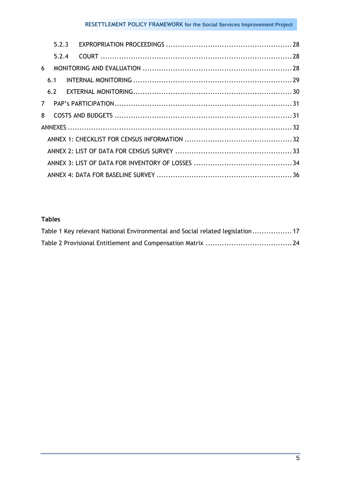# **RESETTLEMENT POLICY FRAMEWORK for the Social Services Improvement Project**

|                | 523   |  |  |
|----------------|-------|--|--|
|                | 5.2.4 |  |  |
| 6              |       |  |  |
|                | 6.1   |  |  |
|                | 6.2   |  |  |
| 7 <sup>7</sup> |       |  |  |
| 8              |       |  |  |
|                |       |  |  |
|                |       |  |  |
|                |       |  |  |
|                |       |  |  |
|                |       |  |  |

# **Tables**

| Table 1 Key relevant National Environmental and Social related legislation 17 |  |
|-------------------------------------------------------------------------------|--|
|                                                                               |  |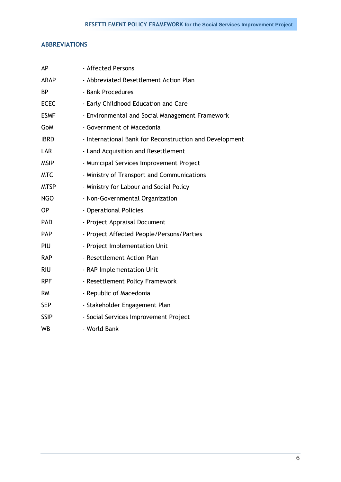## <span id="page-5-0"></span>**ABBREVIATIONS**

| AP          | - Affected Persons                                      |
|-------------|---------------------------------------------------------|
| <b>ARAP</b> | - Abbreviated Resettlement Action Plan                  |
| <b>BP</b>   | - Bank Procedures                                       |
| <b>ECEC</b> | - Early Childhood Education and Care                    |
| <b>ESMF</b> | - Environmental and Social Management Framework         |
| GoM         | - Government of Macedonia                               |
| <b>IBRD</b> | - International Bank for Reconstruction and Development |
| LAR         | - Land Acquisition and Resettlement                     |
| <b>MSIP</b> | - Municipal Services Improvement Project                |
| <b>MTC</b>  | - Ministry of Transport and Communications              |
| <b>MTSP</b> | - Ministry for Labour and Social Policy                 |
| <b>NGO</b>  | - Non-Governmental Organization                         |
| <b>OP</b>   | - Operational Policies                                  |
| <b>PAD</b>  | - Project Appraisal Document                            |
| <b>PAP</b>  | - Project Affected People/Persons/Parties               |
| PIU         | - Project Implementation Unit                           |
| <b>RAP</b>  | - Resettlement Action Plan                              |
| <b>RIU</b>  | - RAP Implementation Unit                               |
| <b>RPF</b>  | - Resettlement Policy Framework                         |
| <b>RM</b>   | - Republic of Macedonia                                 |
| <b>SEP</b>  | - Stakeholder Engagement Plan                           |
| <b>SSIP</b> | - Social Services Improvement Project                   |
| <b>WB</b>   | - World Bank                                            |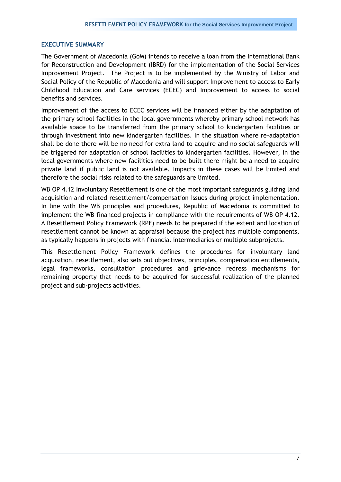#### <span id="page-6-0"></span>**EXECUTIVE SUMMARY**

The Government of Macedonia (GoM) intends to receive a loan from the International Bank for Reconstruction and Development (IBRD) for the implementation of the Social Services Improvement Project. The Project is to be implemented by the Ministry of Labor and Social Policy of the Republic of Macedonia and will support Improvement to access to Early Childhood Education and Care services (ECEC) and Improvement to access to social benefits and services.

Improvement of the access to ECEC services will be financed either by the adaptation of the primary school facilities in the local governments whereby primary school network has available space to be transferred from the primary school to kindergarten facilities or through investment into new kindergarten facilities. In the situation where re-adaptation shall be done there will be no need for extra land to acquire and no social safeguards will be triggered for adaptation of school facilities to kindergarten facilities. However, in the local governments where new facilities need to be built there might be a need to acquire private land if public land is not available. Impacts in these cases will be limited and therefore the social risks related to the safeguards are limited.

WB OP 4.12 Involuntary Resettlement is one of the most important safeguards guiding land acquisition and related resettlement/compensation issues during project implementation. In line with the WB principles and procedures, Republic of Macedonia is committed to implement the WB financed projects in compliance with the requirements of WB OP 4.12. A Resettlement Policy Framework (RPF) needs to be prepared if the extent and location of resettlement cannot be known at appraisal because the project has multiple components, as typically happens in projects with financial intermediaries or multiple subprojects.

This Resettlement Policy Framework defines the procedures for involuntary land acquisition, resettlement, also sets out objectives, principles, compensation entitlements, legal frameworks, consultation procedures and grievance redress mechanisms for remaining property that needs to be acquired for successful realization of the planned project and sub-projects activities.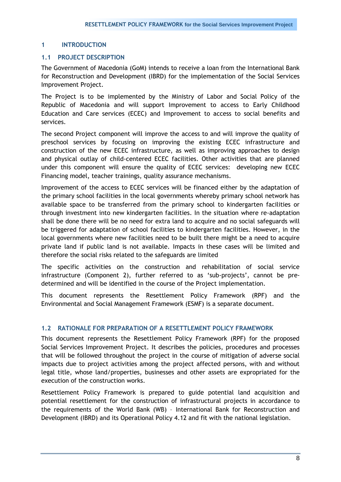## <span id="page-7-0"></span>**1 INTRODUCTION**

## <span id="page-7-1"></span>**1.1 PROJECT DESCRIPTION**

The Government of Macedonia (GoM) intends to receive a loan from the International Bank for Reconstruction and Development (IBRD) for the implementation of the Social Services Improvement Project.

The Project is to be implemented by the Ministry of Labor and Social Policy of the Republic of Macedonia and will support Improvement to access to Early Childhood Education and Care services (ECEC) and Improvement to access to social benefits and services.

The second Project component will improve the access to and will improve the quality of preschool services by focusing on improving the existing ECEC infrastructure and construction of the new ECEC infrastructure, as well as improving approaches to design and physical outlay of child-centered ECEC facilities. Other activities that are planned under this component will ensure the quality of ECEC services: developing new ECEC Financing model, teacher trainings, quality assurance mechanisms.

Improvement of the access to ECEC services will be financed either by the adaptation of the primary school facilities in the local governments whereby primary school network has available space to be transferred from the primary school to kindergarten facilities or through investment into new kindergarten facilities. In the situation where re-adaptation shall be done there will be no need for extra land to acquire and no social safeguards will be triggered for adaptation of school facilities to kindergarten facilities. However, in the local governments where new facilities need to be built there might be a need to acquire private land if public land is not available. Impacts in these cases will be limited and therefore the social risks related to the safeguards are limited

The specific activities on the construction and rehabilitation of social service infrastructure (Component 2), further referred to as 'sub-projects', cannot be predetermined and will be identified in the course of the Project implementation.

This document represents the Resettlement Policy Framework (RPF) and the Environmental and Social Management Framework (ESMF) is a separate document.

## <span id="page-7-2"></span>**1.2 RATIONALE FOR PREPARATION OF A RESETTLEMENT POLICY FRAMEWORK**

This document represents the Resettlement Policy Framework (RPF) for the proposed Social Services Improvement Project. It describes the policies, procedures and processes that will be followed throughout the project in the course of mitigation of adverse social impacts due to project activities among the project affected persons, with and without legal title, whose land/properties, businesses and other assets are expropriated for the execution of the construction works.

Resettlement Policy Framework is prepared to guide potential land acquisition and potential resettlement for the construction of infrastructural projects in accordance to the requirements of the World Bank (WB) – International Bank for Reconstruction and Development (IBRD) and its Operational Policy 4.12 and fit with the national legislation.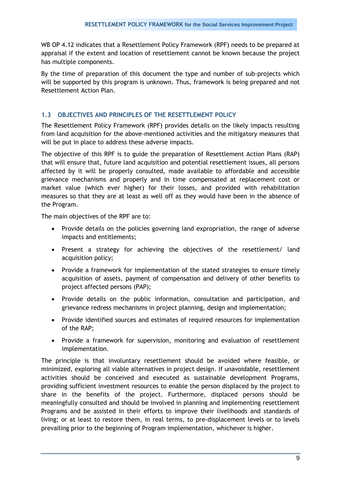WB OP 4.12 indicates that a Resettlement Policy Framework (RPF) needs to be prepared at appraisal if the extent and location of resettlement cannot be known because the project has multiple components.

By the time of preparation of this document the type and number of sub-projects which will be supported by this program is unknown. Thus, framework is being prepared and not Resettlement Action Plan.

# <span id="page-8-0"></span>**1.3 OBJECTIVES AND PRINCIPLES OF THE RESETTLEMENT POLICY**

The Resettlement Policy Framework (RPF) provides details on the likely impacts resulting from land acquisition for the above-mentioned activities and the mitigatory measures that will be put in place to address these adverse impacts.

The objective of this RPF is to guide the preparation of Resettlement Action Plans (RAP) that will ensure that, future land acquisition and potential resettlement issues, all persons affected by it will be properly consulted, made available to affordable and accessible grievance mechanisms and properly and in time compensated at replacement cost or market value (which ever higher) for their losses, and provided with rehabilitation measures so that they are at least as well off as they would have been in the absence of the Program.

The main objectives of the RPF are to:

- Provide details on the policies governing land expropriation, the range of adverse impacts and entitlements;
- Present a strategy for achieving the objectives of the resettlement/ land acquisition policy;
- Provide a framework for implementation of the stated strategies to ensure timely acquisition of assets, payment of compensation and delivery of other benefits to project affected persons (PAP);
- Provide details on the public information, consultation and participation, and grievance redress mechanisms in project planning, design and implementation;
- Provide identified sources and estimates of required resources for implementation of the RAP;
- Provide a framework for supervision, monitoring and evaluation of resettlement implementation.

The principle is that involuntary resettlement should be avoided where feasible, or minimized, exploring all viable alternatives in project design. If unavoidable, resettlement activities should be conceived and executed as sustainable development Programs, providing sufficient investment resources to enable the person displaced by the project to share in the benefits of the project. Furthermore, displaced persons should be meaningfully consulted and should be involved in planning and implementing resettlement Programs and be assisted in their efforts to improve their livelihoods and standards of living; or at least to restore them, in real terms, to pre-displacement levels or to levels prevailing prior to the beginning of Program implementation, whichever is higher.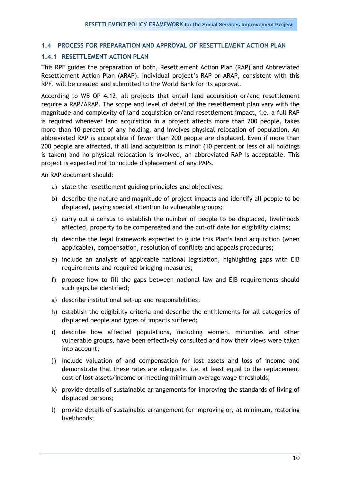## <span id="page-9-0"></span>**1.4 PROCESS FOR PREPARATION AND APPROVAL OF RESETTLEMENT ACTION PLAN**

## <span id="page-9-1"></span>**1.4.1 RESETTLEMENT ACTION PLAN**

This RPF guides the preparation of both, Resettlement Action Plan (RAP) and Abbreviated Resettlement Action Plan (ARAP). Individual project"s RAP or ARAP, consistent with this RPF, will be created and submitted to the World Bank for its approval.

According to WB OP 4.12, all projects that entail land acquisition or/and resettlement require a RAP/ARAP. The scope and level of detail of the resettlement plan vary with the magnitude and complexity of land acquisition or/and resettlement impact, i.e. a full RAP is required whenever land acquisition in a project affects more than 200 people, takes more than 10 percent of any holding, and involves physical relocation of population. An abbreviated RAP is acceptable if fewer than 200 people are displaced. Even if more than 200 people are affected, if all land acquisition is minor (10 percent or less of all holdings is taken) and no physical relocation is involved, an abbreviated RAP is acceptable. This project is expected not to include displacement of any PAPs.

An RAP document should:

- a) state the resettlement guiding principles and objectives;
- b) describe the nature and magnitude of project impacts and identify all people to be displaced, paying special attention to vulnerable groups;
- c) carry out a census to establish the number of people to be displaced, livelihoods affected, property to be compensated and the cut-off date for eligibility claims;
- d) describe the legal framework expected to guide this Plan"s land acquisition (when applicable), compensation, resolution of conflicts and appeals procedures;
- e) include an analysis of applicable national legislation, highlighting gaps with EIB requirements and required bridging measures;
- f) propose how to fill the gaps between national law and EIB requirements should such gaps be identified;
- g) describe institutional set-up and responsibilities;
- h) establish the eligibility criteria and describe the entitlements for all categories of displaced people and types of impacts suffered;
- i) describe how affected populations, including women, minorities and other vulnerable groups, have been effectively consulted and how their views were taken into account;
- j) include valuation of and compensation for lost assets and loss of income and demonstrate that these rates are adequate, i.e. at least equal to the replacement cost of lost assets/income or meeting minimum average wage thresholds;
- k) provide details of sustainable arrangements for improving the standards of living of displaced persons;
- l) provide details of sustainable arrangement for improving or, at minimum, restoring livelihoods;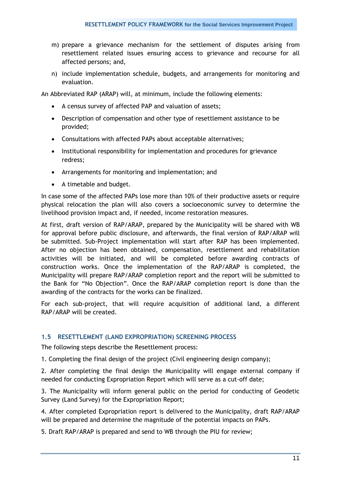- m) prepare a grievance mechanism for the settlement of disputes arising from resettlement related issues ensuring access to grievance and recourse for all affected persons; and,
- n) include implementation schedule, budgets, and arrangements for monitoring and evaluation.

An Abbreviated RAP (ARAP) will, at minimum, include the following elements:

- A census survey of affected PAP and valuation of assets;
- Description of compensation and other type of resettlement assistance to be provided;
- Consultations with affected PAPs about acceptable alternatives;
- Institutional responsibility for implementation and procedures for grievance redress;
- Arrangements for monitoring and implementation; and
- A timetable and budget.

In case some of the affected PAPs lose more than 10% of their productive assets or require physical relocation the plan will also covers a socioeconomic survey to determine the livelihood provision impact and, if needed, income restoration measures.

At first, draft version of RAP/ARAP, prepared by the Municipality will be shared with WB for approval before public disclosure, and afterwards, the final version of RAP/ARAP will be submitted. Sub-Project implementation will start after RAP has been implemented. After no objection has been obtained, compensation, resettlement and rehabilitation activities will be initiated, and will be completed before awarding contracts of construction works. Once the implementation of the RAP/ARAP is completed, the Municipality will prepare RAP/ARAP completion report and the report will be submitted to the Bank for "No Objection". Once the RAP/ARAP completion report is done than the awarding of the contracts for the works can be finalized.

For each sub-project, that will require acquisition of additional land, a different RAP/ARAP will be created.

### <span id="page-10-0"></span>**1.5 RESETTLEMENT (LAND EXPROPRIATION) SCREENING PROCESS**

The following steps describe the Resettlement process:

1. Completing the final design of the project (Civil engineering design company);

2. After completing the final design the Municipality will engage external company if needed for conducting Expropriation Report which will serve as a cut-off date;

3. The Municipality will inform general public on the period for conducting of Geodetic Survey (Land Survey) for the Expropriation Report;

4. After completed Expropriation report is delivered to the Municipality, draft RAP/ARAP will be prepared and determine the magnitude of the potential impacts on PAPs.

5. Draft RAP/ARAP is prepared and send to WB through the PIU for review;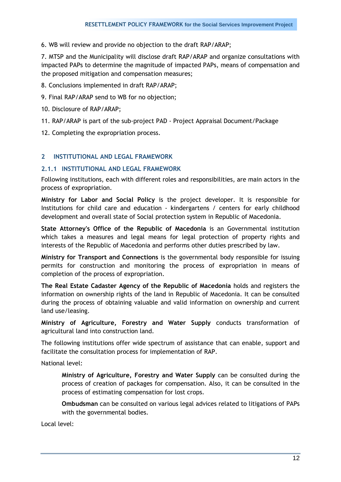6. WB will review and provide no objection to the draft RAP/ARAP;

7. MTSP and the Municipality will disclose draft RAP/ARAP and organize consultations with impacted PAPs to determine the magnitude of impacted PAPs, means of compensation and the proposed mitigation and compensation measures;

- 8. Conclusions implemented in draft RAP/ARAP;
- 9. Final RAP/ARAP send to WB for no objection;
- 10. Disclosure of RAP/ARAP;
- 11. RAP/ARAP is part of the sub-project PAD Project Appraisal Document/Package
- 12. Completing the expropriation process.

#### <span id="page-11-0"></span>**2 INSTITUTIONAL AND LEGAL FRAMEWORK**

#### <span id="page-11-1"></span>**2.1.1 INSTITUTIONAL AND LEGAL FRAMEWORK**

Following institutions, each with different roles and responsibilities, are main actors in the process of expropriation.

**Ministry for Labor and Social Policy** is the project developer. It is responsible for Institutions for child care and education - kindergartens / centers for early childhood development and overall state of Social protection system in Republic of Macedonia.

**State Attorney's Office of the Republic of Macedonia** is an Governmental institution which takes a measures and legal means for legal protection of property rights and interests of the Republic of Macedonia and performs other duties prescribed by law.

**Ministry for Transport and Connections** is the governmental body responsible for issuing permits for construction and monitoring the process of expropriation in means of completion of the process of expropriation.

**The Real Estate Cadaster Agency of the Republic of Macedonia** holds and registers the information on ownership rights of the land in Republic of Macedonia. It can be consulted during the process of obtaining valuable and valid information on ownership and current land use/leasing.

**Ministry of Agriculture, Forestry and Water Supply** conducts transformation of agricultural land into construction land.

The following institutions offer wide spectrum of assistance that can enable, support and facilitate the consultation process for implementation of RAP.

National level:

**Ministry of Agriculture, Forestry and Water Supply** can be consulted during the process of creation of packages for compensation. Also, it can be consulted in the process of estimating compensation for lost crops.

**Ombudsman** can be consulted on various legal advices related to litigations of PAPs with the governmental bodies.

Local level: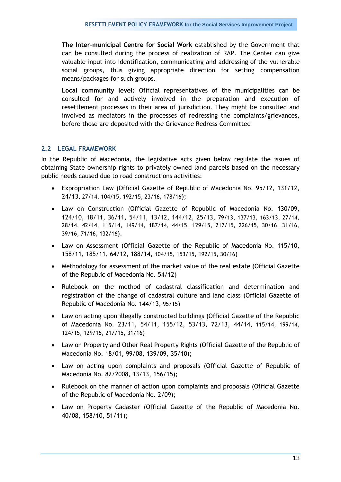**The Inter-municipal Centre for Social Work** established by the Government that can be consulted during the process of realization of RAP. The Center can give valuable input into identification, communicating and addressing of the vulnerable social groups, thus giving appropriate direction for setting compensation means/packages for such groups.

**Local community level:** Official representatives of the municipalities can be consulted for and actively involved in the preparation and execution of resettlement processes in their area of jurisdiction. They might be consulted and involved as mediators in the processes of redressing the complaints/grievances, before those are deposited with the Grievance Redress Committee

## <span id="page-12-0"></span>**2.2 LEGAL FRAMEWORK**

In the Republic of Macedonia, the legislative acts given below regulate the issues of obtaining State ownership rights to privately owned land parcels based on the necessary public needs caused due to road constructions activities:

- Expropriation Law (Official Gazette of Republic of Macedonia No. 95/12, 131/12, 24/13, 27/14, 104/15, 192/15, 23/16, 178/16);
- Law on Construction (Official Gazette of Republic of Macedonia No. 130/09, 124/10, 18/11, 36/11, 54/11, 13/12, 144/12, 25/13, 79/13, 137/13, 163/13, 27/14, 28/14, 42/14, 115/14, 149/14, 187/14, 44/15, 129/15, 217/15, 226/15, 30/16, 31/16, 39/16, 71/16, 132/16).
- Law on Assessment (Official Gazette of the Republic of Macedonia No. 115/10, 158/11, 185/11, 64/12, 188/14, 104/15, 153/15, 192/15, 30/16)
- Methodology for assessment of the market value of the real estate (Official Gazette of the Republic of Macedonia No. 54/12)
- Rulebook on the method of cadastral classification and determination and registration of the change of cadastral culture and land class (Official Gazette of Republic of Macedonia No. 144/13, 95/15)
- Law on acting upon illegally constructed buildings (Official Gazette of the Republic of Macedonia No. 23/11, 54/11, 155/12, 53/13, 72/13, 44/14, 115/14, 199/14, 124/15, 129/15, 217/15, 31/16)
- Law on Property and Other Real Property Rights (Official Gazette of the Republic of Macedonia No. 18/01, 99/08, 139/09, 35/10);
- Law on acting upon complaints and proposals (Official Gazette of Republic of Macedonia No. 82/2008, 13/13, 156/15);
- Rulebook on the manner of action upon complaints and proposals (Official Gazette of the Republic of Macedonia No. 2/09);
- Law on Property Cadaster (Official Gazette of the Republic of Macedonia No. 40/08, 158/10, 51/11);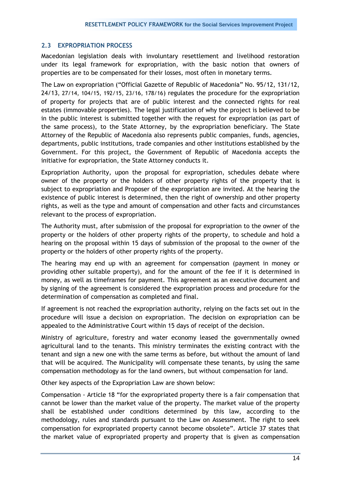## <span id="page-13-0"></span>**2.3 EXPROPRIATION PROCESS**

Macedonian legislation deals with involuntary resettlement and livelihood restoration under its legal framework for expropriation, with the basic notion that owners of properties are to be compensated for their losses, most often in monetary terms.

The Law on expropriation ("Official Gazette of Republic of Macedonia" No. 95/12, 131/12, 24/13, 27/14, 104/15, 192/15, 23/16, 178/16) regulates the procedure for the expropriation of property for projects that are of public interest and the connected rights for real estates (immovable properties). The legal justification of why the project is believed to be in the public interest is submitted together with the request for expropriation (as part of the same process), to the State Attorney, by the expropriation beneficiary. The State Attorney of the Republic of Macedonia also represents public companies, funds, agencies, departments, public institutions, trade companies and other institutions established by the Government. For this project, the Government of Republic of Macedonia accepts the initiative for expropriation, the State Attorney conducts it.

Expropriation Authority, upon the proposal for expropriation, schedules debate where owner of the property or the holders of other property rights of the property that is subject to expropriation and Proposer of the expropriation are invited. At the hearing the existence of public interest is determined, then the right of ownership and other property rights, as well as the type and amount of compensation and other facts and circumstances relevant to the process of expropriation.

The Authority must, after submission of the proposal for expropriation to the owner of the property or the holders of other property rights of the property, to schedule and hold a hearing on the proposal within 15 days of submission of the proposal to the owner of the property or the holders of other property rights of the property.

The hearing may end up with an agreement for compensation (payment in money or providing other suitable property), and for the amount of the fee if it is determined in money, as well as timeframes for payment. This agreement as an executive document and by signing of the agreement is considered the expropriation process and procedure for the determination of compensation as completed and final.

If agreement is not reached the expropriation authority, relying on the facts set out in the procedure will issue a decision on expropriation. The decision on expropriation can be appealed to the Administrative Court within 15 days of receipt of the decision.

Ministry of agriculture, forestry and water economy leased the governmentally owned agricultural land to the tenants. This ministry terminates the existing contract with the tenant and sign a new one with the same terms as before, but without the amount of land that will be acquired. The Municipality will compensate these tenants, by using the same compensation methodology as for the land owners, but without compensation for land.

Other key aspects of the Expropriation Law are shown below:

Compensation - Article 18 "for the expropriated property there is a fair compensation that cannot be lower than the market value of the property. The market value of the property shall be established under conditions determined by this law, according to the methodology, rules and standards pursuant to the Law on Assessment. The right to seek compensation for expropriated property cannot become obsolete". Article 37 states that the market value of expropriated property and property that is given as compensation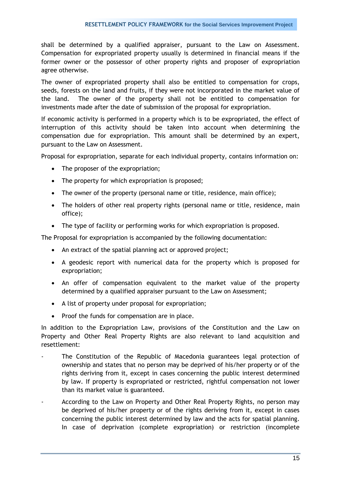shall be determined by a qualified appraiser, pursuant to the Law on Assessment. Compensation for expropriated property usually is determined in financial means if the former owner or the possessor of other property rights and proposer of expropriation agree otherwise.

The owner of expropriated property shall also be entitled to compensation for crops, seeds, forests on the land and fruits, if they were not incorporated in the market value of the land. The owner of the property shall not be entitled to compensation for investments made after the date of submission of the proposal for expropriation.

If economic activity is performed in a property which is to be expropriated, the effect of interruption of this activity should be taken into account when determining the compensation due for expropriation. This amount shall be determined by an expert, pursuant to the Law on Assessment.

Proposal for expropriation, separate for each individual property, contains information on:

- The proposer of the expropriation;
- The property for which expropriation is proposed:
- The owner of the property (personal name or title, residence, main office);
- The holders of other real property rights (personal name or title, residence, main office);
- The type of facility or performing works for which expropriation is proposed.

The Proposal for expropriation is accompanied by the following documentation:

- An extract of the spatial planning act or approved project;
- A geodesic report with numerical data for the property which is proposed for expropriation;
- An offer of compensation equivalent to the market value of the property determined by a qualified appraiser pursuant to the Law on Assessment;
- A list of property under proposal for expropriation;
- Proof the funds for compensation are in place.

In addition to the Expropriation Law, provisions of the Constitution and the Law on Property and Other Real Property Rights are also relevant to land acquisition and resettlement:

- The Constitution of the Republic of Macedonia guarantees legal protection of ownership and states that no person may be deprived of his/her property or of the rights deriving from it, except in cases concerning the public interest determined by law. If property is expropriated or restricted, rightful compensation not lower than its market value is guaranteed.
- According to the Law on Property and Other Real Property Rights, no person may be deprived of his/her property or of the rights deriving from it, except in cases concerning the public interest determined by law and the acts for spatial planning. In case of deprivation (complete expropriation) or restriction (incomplete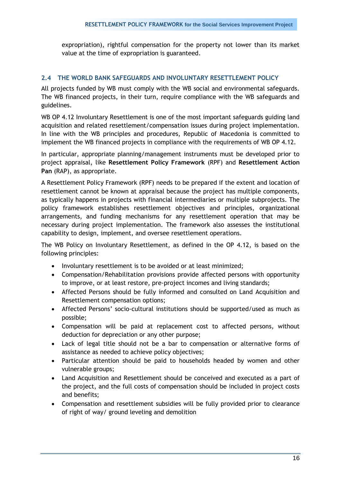expropriation), rightful compensation for the property not lower than its market value at the time of expropriation is guaranteed.

## <span id="page-15-0"></span>**2.4 THE WORLD BANK SAFEGUARDS AND INVOLUNTARY RESETTLEMENT POLICY**

All projects funded by WB must comply with the WB social and environmental safeguards. The WB financed projects, in their turn, require compliance with the WB safeguards and guidelines.

WB OP 4.12 Involuntary Resettlement is one of the most important safeguards guiding land acquisition and related resettlement/compensation issues during project implementation. In line with the WB principles and procedures, Republic of Macedonia is committed to implement the WB financed projects in compliance with the requirements of WB OP 4.12.

In particular, appropriate planning/management instruments must be developed prior to project appraisal, like **Resettlement Policy Framework** (RPF) and **Resettlement Action Pan** (RAP), as appropriate.

A Resettlement Policy Framework (RPF) needs to be prepared if the extent and location of resettlement cannot be known at appraisal because the project has multiple components, as typically happens in projects with financial intermediaries or multiple subprojects. The policy framework establishes resettlement objectives and principles, organizational arrangements, and funding mechanisms for any resettlement operation that may be necessary during project implementation. The framework also assesses the institutional capability to design, implement, and oversee resettlement operations.

The WB Policy on Involuntary Resettlement, as defined in the OP 4.12, is based on the following principles:

- Involuntary resettlement is to be avoided or at least minimized;
- Compensation/Rehabilitation provisions provide affected persons with opportunity to improve, or at least restore, pre-project incomes and living standards;
- Affected Persons should be fully informed and consulted on Land Acquisition and Resettlement compensation options;
- Affected Persons" socio-cultural institutions should be supported/used as much as possible;
- Compensation will be paid at replacement cost to affected persons, without deduction for depreciation or any other purpose;
- Lack of legal title should not be a bar to compensation or alternative forms of assistance as needed to achieve policy objectives;
- Particular attention should be paid to households headed by women and other vulnerable groups;
- Land Acquisition and Resettlement should be conceived and executed as a part of the project, and the full costs of compensation should be included in project costs and benefits;
- Compensation and resettlement subsidies will be fully provided prior to clearance of right of way/ ground leveling and demolition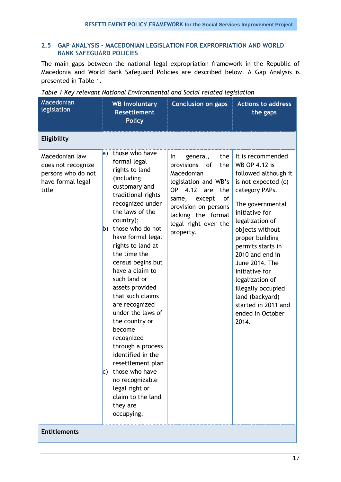## <span id="page-16-0"></span>**2.5 GAP ANALYSIS – MACEDONIAN LEGISLATION FOR EXPROPRIATION AND WORLD BANK SAFEGUARD POLICIES**

The main gaps between the national legal expropriation framework in the Republic of Macedonia and World Bank Safeguard Policies are described below. A Gap Analysis is presented in Table 1.

| Macedonian<br>legislation                                                                | <b>WB Involuntary</b><br><b>Resettlement</b><br><b>Policy</b>                                                                                                                                                                                                                                                                                                                                                                                                                                                                                                                                         | <b>Conclusion on gaps</b>                                                                                                                                                                                                             | <b>Actions to address</b><br>the gaps                                                                                                                                                                                                                                                                                                                                                          |
|------------------------------------------------------------------------------------------|-------------------------------------------------------------------------------------------------------------------------------------------------------------------------------------------------------------------------------------------------------------------------------------------------------------------------------------------------------------------------------------------------------------------------------------------------------------------------------------------------------------------------------------------------------------------------------------------------------|---------------------------------------------------------------------------------------------------------------------------------------------------------------------------------------------------------------------------------------|------------------------------------------------------------------------------------------------------------------------------------------------------------------------------------------------------------------------------------------------------------------------------------------------------------------------------------------------------------------------------------------------|
| Eligibility                                                                              |                                                                                                                                                                                                                                                                                                                                                                                                                                                                                                                                                                                                       |                                                                                                                                                                                                                                       |                                                                                                                                                                                                                                                                                                                                                                                                |
| Macedonian law<br>does not recognize<br>persons who do not<br>have formal legal<br>title | a) those who have<br>formal legal<br>rights to land<br>(including<br>customary and<br>traditional rights<br>recognized under<br>the laws of the<br>country);<br>b) those who do not<br>have formal legal<br>rights to land at<br>the time the<br>census begins but<br>have a claim to<br>such land or<br>assets provided<br>that such claims<br>are recognized<br>under the laws of<br>the country or<br>become<br>recognized<br>through a process<br>identified in the<br>resettlement plan<br>c) those who have<br>no recognizable<br>legal right or<br>claim to the land<br>they are<br>occupying. | general,<br>the<br>In<br>provisions<br>of<br>the<br>Macedonian<br>legislation and WB's<br><b>OP</b><br>4.12<br>the<br>are<br>of<br>except<br>same,<br>provision on persons<br>lacking the formal<br>legal right over the<br>property. | It is recommended<br>WB OP 4.12 is<br>followed although it<br>is not expected (c)<br>category PAPs.<br>The governmental<br>initiative for<br>legalization of<br>objects without<br>proper building<br>permits starts in<br>2010 and end in<br>June 2014. The<br>initiative for<br>legalization of<br>illegally occupied<br>land (backyard)<br>started in 2011 and<br>ended in October<br>2014. |
| <b>Entitlements</b>                                                                      |                                                                                                                                                                                                                                                                                                                                                                                                                                                                                                                                                                                                       |                                                                                                                                                                                                                                       |                                                                                                                                                                                                                                                                                                                                                                                                |

<span id="page-16-1"></span>*Table 1 Key relevant National Environmental and Social related legislation*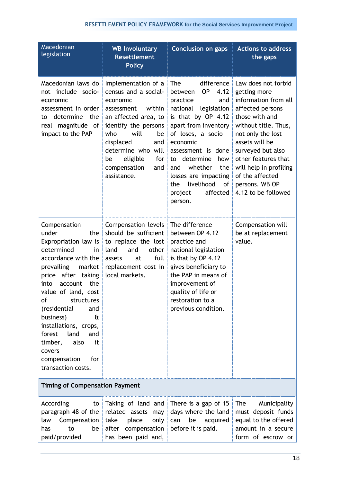| <b>Macedonian</b><br>legislation                                                                                                                                                                                                                                                                                                                                                              | <b>WB Involuntary</b><br><b>Resettlement</b><br><b>Policy</b>                                                                                                                                                                                                 | <b>Conclusion on gaps</b>                                                                                                                                                                                                                                                                                                            | <b>Actions to address</b><br>the gaps                                                                                                                                                                                                                                                                           |
|-----------------------------------------------------------------------------------------------------------------------------------------------------------------------------------------------------------------------------------------------------------------------------------------------------------------------------------------------------------------------------------------------|---------------------------------------------------------------------------------------------------------------------------------------------------------------------------------------------------------------------------------------------------------------|--------------------------------------------------------------------------------------------------------------------------------------------------------------------------------------------------------------------------------------------------------------------------------------------------------------------------------------|-----------------------------------------------------------------------------------------------------------------------------------------------------------------------------------------------------------------------------------------------------------------------------------------------------------------|
| Macedonian laws do<br>not include socio-<br>economic<br>assessment in order<br>determine<br>the<br>to<br>real magnitude of<br>impact to the PAP                                                                                                                                                                                                                                               | Implementation of a<br>census and a social-<br>economic<br>within<br>assessment<br>an affected area, to<br>identify the persons<br>will<br>who<br>be<br>displaced<br>and<br>determine who will<br>eligible<br>for<br>be<br>compensation<br>and<br>assistance. | <b>The</b><br><b>OP</b><br>between<br>4.12<br>practice<br>and<br>national<br>legislation<br>is that by OP 4.12<br>apart from inventory<br>of loses, a socio -<br>economic<br>assessment is done<br>to determine<br>how<br>whether<br>the<br>and<br>losses are impacting<br>livelihood<br>the<br>of<br>affected<br>project<br>person. | difference   Law does not forbid<br>getting more<br>information from all<br>affected persons<br>those with and<br>without title. Thus,<br>not only the lost<br>assets will be<br>surveyed but also<br>other features that<br>will help in profiling<br>of the affected<br>persons. WB OP<br>4.12 to be followed |
| Compensation<br>under<br>the<br>Expropriation law is<br>determined<br>in<br>accordance with the<br>prevailing<br>market<br>price after taking<br>the<br>account<br>into<br>value of land, cost<br>of<br>structures<br>(residential<br>and<br>business)<br>£<br>installations, crops,<br>land<br>forest<br>and<br>also<br>timber,<br>it<br>covers<br>for<br>compensation<br>transaction costs. | Compensation levels<br>should be sufficient<br>to replace the lost<br>land<br>other<br>and<br>full<br>assets<br>at<br>replacement cost in<br>local markets.                                                                                                   | The difference<br>between OP 4.12<br>practice and<br>national legislation<br>is that by OP 4.12<br>gives beneficiary to<br>the PAP in means of<br>improvement of<br>quality of life or<br>restoration to a<br>previous condition.                                                                                                    | Compensation will<br>be at replacement<br>value.                                                                                                                                                                                                                                                                |
| <b>Timing of Compensation Payment</b>                                                                                                                                                                                                                                                                                                                                                         |                                                                                                                                                                                                                                                               |                                                                                                                                                                                                                                                                                                                                      |                                                                                                                                                                                                                                                                                                                 |
| According<br>to<br>paragraph 48 of the<br>law<br>Compensation<br>to<br>be<br>has<br>paid/provided                                                                                                                                                                                                                                                                                             | Taking of land and<br>related assets may<br>take<br>place<br>only<br>after compensation<br>has been paid and,                                                                                                                                                 | There is a gap of 15<br>days where the land<br>be<br>acquired<br>can<br>before it is paid.                                                                                                                                                                                                                                           | Municipality<br>The<br>must deposit funds<br>equal to the offered<br>amount in a secure<br>form of escrow or                                                                                                                                                                                                    |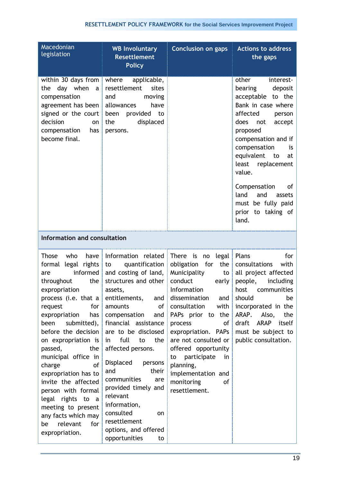| Macedonian<br>legislation                                                                                                                                                                                                                                                                                                                                                                                                                                                             | <b>WB Involuntary</b><br><b>Resettlement</b><br><b>Policy</b>                                                                                                                                                                                                                                                                                                                                                                                                                                                          | <b>Conclusion on gaps</b>                                                                                                                                                                                                                                                                                                                                        | <b>Actions to address</b><br>the gaps                                                                                                                                                                                                                                                                                                                    |
|---------------------------------------------------------------------------------------------------------------------------------------------------------------------------------------------------------------------------------------------------------------------------------------------------------------------------------------------------------------------------------------------------------------------------------------------------------------------------------------|------------------------------------------------------------------------------------------------------------------------------------------------------------------------------------------------------------------------------------------------------------------------------------------------------------------------------------------------------------------------------------------------------------------------------------------------------------------------------------------------------------------------|------------------------------------------------------------------------------------------------------------------------------------------------------------------------------------------------------------------------------------------------------------------------------------------------------------------------------------------------------------------|----------------------------------------------------------------------------------------------------------------------------------------------------------------------------------------------------------------------------------------------------------------------------------------------------------------------------------------------------------|
| within 30 days from<br>the day when<br>a<br>compensation<br>agreement has been<br>signed or the court<br>decision<br>on<br>compensation<br>has<br>become final.                                                                                                                                                                                                                                                                                                                       | where<br>applicable,<br>resettlement<br>sites<br>and<br>moving<br>allowances<br>have<br>been provided to<br>displaced<br>the<br>persons.                                                                                                                                                                                                                                                                                                                                                                               |                                                                                                                                                                                                                                                                                                                                                                  | other<br>interest-<br>deposit<br>bearing<br>acceptable to the<br>Bank in case where<br>affected<br>person<br>does<br>not<br>accept<br>proposed<br>compensation and if<br>compensation<br>is<br>equivalent<br>to<br>at<br>least replacement<br>value.<br>Compensation<br>of<br>land<br>and<br>assets<br>must be fully paid<br>prior to taking of<br>land. |
| Information and consultation                                                                                                                                                                                                                                                                                                                                                                                                                                                          |                                                                                                                                                                                                                                                                                                                                                                                                                                                                                                                        |                                                                                                                                                                                                                                                                                                                                                                  |                                                                                                                                                                                                                                                                                                                                                          |
| Those<br>who<br>have<br>formal legal rights<br>informed<br>are<br>the<br>throughout<br>expropriation<br>for<br>request<br>expropriation<br>has<br>been<br>submitted),<br>before the decision<br>on expropriation is<br>passed,<br>the<br>municipal office in<br><b>of</b><br>charge<br>expropriation has to<br>invite the affected<br>person with formal<br>legal rights to<br>$\overline{a}$<br>meeting to present<br>any facts which may<br>relevant<br>for<br>be<br>expropriation. | Information related<br>quantification<br>to<br>and costing of land,<br>structures and other<br>assets,<br>process (i.e. that a entitlements, and dissemination and should be<br>amounts<br>οf<br>compensation<br>and<br>financial assistance<br>are to be disclosed<br>full<br>to<br>the<br>in<br>affected persons.<br>Displaced<br>persons<br>and<br>their<br>communities<br>are<br>provided timely and<br>relevant<br>information,<br>consulted<br>on<br>resettlement<br>options, and offered<br>opportunities<br>to | There is<br>no legal<br>obligation for<br>the $ $<br>Municipality<br>$\mathsf{to}$<br>conduct<br>early $ $<br>Information<br>consultation<br>with<br>PAPs prior to the<br>process<br>of<br>expropriation. PAPs<br>are not consulted or<br>offered opportunity<br>participate<br>to<br>in<br>planning,<br>implementation and<br>monitoring<br>of<br>resettlement. | Plans<br>for<br>consultations<br>with<br>all project affected<br>people,<br>including<br>host<br>communities<br>incorporated in the<br>ARAP.<br>Also,<br>the<br>draft ARAP<br>itself<br>must be subject to<br>public consultation.                                                                                                                       |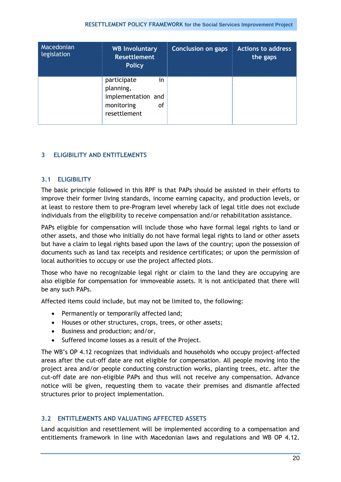#### **RESETTLEMENT POLICY FRAMEWORK for the Social Services Improvement Project**

| Macedonian<br>legislation | <b>WB Involuntary</b><br><b>Resettlement</b><br><b>Policy</b>                             | <b>Conclusion on gaps</b> | <b>Actions to address</b><br>the gaps |
|---------------------------|-------------------------------------------------------------------------------------------|---------------------------|---------------------------------------|
|                           | participate<br>in.<br>planning,<br>implementation and<br>monitoring<br>οf<br>resettlement |                           |                                       |

## <span id="page-19-1"></span><span id="page-19-0"></span>**3 ELIGIBILITY AND ENTITLEMENTS**

## **3.1 ELIGIBILITY**

The basic principle followed in this RPF is that PAPs should be assisted in their efforts to improve their former living standards, income earning capacity, and production levels, or at least to restore them to pre-Program level whereby lack of legal title does not exclude individuals from the eligibility to receive compensation and/or rehabilitation assistance.

PAPs eligible for compensation will include those who have formal legal rights to land or other assets, and those who initially do not have formal legal rights to land or other assets but have a claim to legal rights based upon the laws of the country; upon the possession of documents such as land tax receipts and residence certificates; or upon the permission of local authorities to occupy or use the project affected plots.

Those who have no recognizable legal right or claim to the land they are occupying are also eligible for compensation for immoveable assets. It is not anticipated that there will be any such PAPs.

Affected items could include, but may not be limited to, the following:

- Permanently or temporarily affected land;
- Houses or other structures, crops, trees, or other assets;
- Business and production; and/or,
- Suffered income losses as a result of the Project.

The WB"s OP 4.12 recognizes that individuals and households who occupy project-affected areas after the cut-off date are not eligible for compensation. All people moving into the project area and/or people conducting construction works, planting trees, etc. after the cut-off date are non-eligible PAPs and thus will not receive any compensation. Advance notice will be given, requesting them to vacate their premises and dismantle affected structures prior to project implementation.

### <span id="page-19-2"></span>**3.2 ENTITLEMENTS AND VALUATING AFFECTED ASSETS**

Land acquisition and resettlement will be implemented according to a compensation and entitlements framework in line with Macedonian laws and regulations and WB OP 4.12.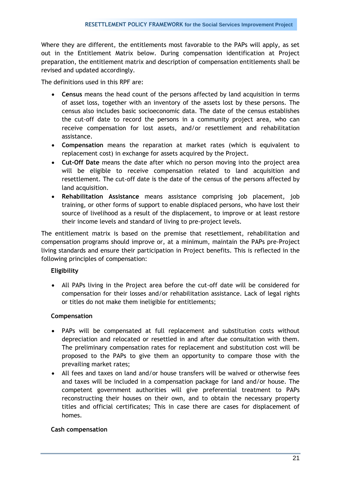Where they are different, the entitlements most favorable to the PAPs will apply, as set out in the Entitlement Matrix below. During compensation identification at Project preparation, the entitlement matrix and description of compensation entitlements shall be revised and updated accordingly.

The definitions used in this RPF are:

- **Census** means the head count of the persons affected by land acquisition in terms of asset loss, together with an inventory of the assets lost by these persons. The census also includes basic socioeconomic data. The date of the census establishes the cut-off date to record the persons in a community project area, who can receive compensation for lost assets, and/or resettlement and rehabilitation assistance.
- **Compensation** means the reparation at market rates (which is equivalent to replacement cost) in exchange for assets acquired by the Project.
- **Cut-Off Date** means the date after which no person moving into the project area will be eligible to receive compensation related to land acquisition and resettlement. The cut-off date is the date of the census of the persons affected by land acquisition.
- **Rehabilitation Assistance** means assistance comprising job placement, job training, or other forms of support to enable displaced persons, who have lost their source of livelihood as a result of the displacement, to improve or at least restore their income levels and standard of living to pre-project levels.

The entitlement matrix is based on the premise that resettlement, rehabilitation and compensation programs should improve or, at a minimum, maintain the PAPs pre-Project living standards and ensure their participation in Project benefits. This is reflected in the following principles of compensation:

## **Eligibility**

 All PAPs living in the Project area before the cut-off date will be considered for compensation for their losses and/or rehabilitation assistance. Lack of legal rights or titles do not make them ineligible for entitlements;

## **Compensation**

- PAPs will be compensated at full replacement and substitution costs without depreciation and relocated or resettled in and after due consultation with them. The preliminary compensation rates for replacement and substitution cost will be proposed to the PAPs to give them an opportunity to compare those with the prevailing market rates;
- All fees and taxes on land and/or house transfers will be waived or otherwise fees and taxes will be included in a compensation package for land and/or house. The competent government authorities will give preferential treatment to PAPs reconstructing their houses on their own, and to obtain the necessary property titles and official certificates; This in case there are cases for displacement of homes.

### **Cash compensation**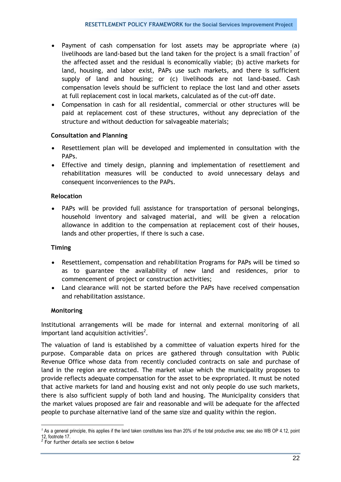- Payment of cash compensation for lost assets may be appropriate where (a) livelihoods are land-based but the land taken for the project is a small fraction<sup>1</sup> of the affected asset and the residual is economically viable; (b) active markets for land, housing, and labor exist, PAPs use such markets, and there is sufficient supply of land and housing; or (c) livelihoods are not land-based. Cash compensation levels should be sufficient to replace the lost land and other assets at full replacement cost in local markets, calculated as of the cut-off date.
- Compensation in cash for all residential, commercial or other structures will be paid at replacement cost of these structures, without any depreciation of the structure and without deduction for salvageable materials;

## **Consultation and Planning**

- Resettlement plan will be developed and implemented in consultation with the PAPs.
- Effective and timely design, planning and implementation of resettlement and rehabilitation measures will be conducted to avoid unnecessary delays and consequent inconveniences to the PAPs.

## **Relocation**

 PAPs will be provided full assistance for transportation of personal belongings, household inventory and salvaged material, and will be given a relocation allowance in addition to the compensation at replacement cost of their houses, lands and other properties, if there is such a case.

### **Timing**

- Resettlement, compensation and rehabilitation Programs for PAPs will be timed so as to guarantee the availability of new land and residences, prior to commencement of project or construction activities;
- Land clearance will not be started before the PAPs have received compensation and rehabilitation assistance.

## **Monitoring**

-

Institutional arrangements will be made for internal and external monitoring of all important land acquisition activities*<sup>2</sup>* .

The valuation of land is established by a committee of valuation experts hired for the purpose. Comparable data on prices are gathered through consultation with Public Revenue Office whose data from recently concluded contracts on sale and purchase of land in the region are extracted. The market value which the municipality proposes to provide reflects adequate compensation for the asset to be expropriated. It must be noted that active markets for land and housing exist and not only people do use such markets, there is also sufficient supply of both land and housing. The Municipality considers that the market values proposed are fair and reasonable and will be adequate for the affected people to purchase alternative land of the same size and quality within the region.

*<sup>1</sup>* As a general principle, this applies if the land taken constitutes less than 20% of the total productive area; see also WB OP 4.12, point 12, footnote 17. *2*

For further details see section 6 below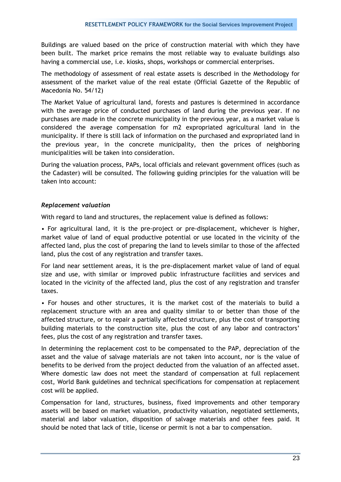Buildings are valued based on the price of construction material with which they have been built. The market price remains the most reliable way to evaluate buildings also having a commercial use, i.e. kiosks, shops, workshops or commercial enterprises.

The methodology of assessment of real estate assets is described in the Methodology for assessment of the market value of the real estate (Official Gazette of the Republic of Macedonia No. 54/12)

The Market Value of agricultural land, forests and pastures is determined in accordance with the average price of conducted purchases of land during the previous year. If no purchases are made in the concrete municipality in the previous year, as a market value is considered the average compensation for m2 expropriated agricultural land in the municipality. If there is still lack of information on the purchased and expropriated land in the previous year, in the concrete municipality, then the prices of neighboring municipalities will be taken into consideration.

During the valuation process, PAPs, local officials and relevant government offices (such as the Cadaster) will be consulted. The following guiding principles for the valuation will be taken into account:

## *Replacement valuation*

With regard to land and structures, the replacement value is defined as follows:

• For agricultural land, it is the pre-project or pre-displacement, whichever is higher, market value of land of equal productive potential or use located in the vicinity of the affected land, plus the cost of preparing the land to levels similar to those of the affected land, plus the cost of any registration and transfer taxes.

For land near settlement areas, it is the pre-displacement market value of land of equal size and use, with similar or improved public infrastructure facilities and services and located in the vicinity of the affected land, plus the cost of any registration and transfer taxes.

• For houses and other structures, it is the market cost of the materials to build a replacement structure with an area and quality similar to or better than those of the affected structure, or to repair a partially affected structure, plus the cost of transporting building materials to the construction site, plus the cost of any labor and contractors' fees, plus the cost of any registration and transfer taxes.

In determining the replacement cost to be compensated to the PAP, depreciation of the asset and the value of salvage materials are not taken into account, nor is the value of benefits to be derived from the project deducted from the valuation of an affected asset. Where domestic law does not meet the standard of compensation at full replacement cost, World Bank guidelines and technical specifications for compensation at replacement cost will be applied.

Compensation for land, structures, business, fixed improvements and other temporary assets will be based on market valuation, productivity valuation, negotiated settlements, material and labor valuation, disposition of salvage materials and other fees paid. It should be noted that lack of title, license or permit is not a bar to compensation.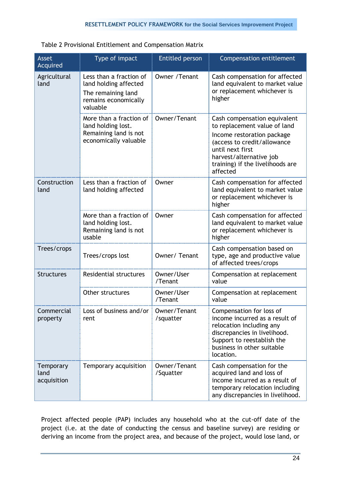<span id="page-23-0"></span>

| Table 2 Provisional Entitlement and Compensation Matrix |  |
|---------------------------------------------------------|--|
|---------------------------------------------------------|--|

| <b>Asset</b><br>Acquired         | Type of impact                                                                                             | <b>Entitled person</b>    | <b>Compensation entitlement</b>                                                                                                                                                                                          |
|----------------------------------|------------------------------------------------------------------------------------------------------------|---------------------------|--------------------------------------------------------------------------------------------------------------------------------------------------------------------------------------------------------------------------|
| Agricultural<br>land             | Less than a fraction of<br>land holding affected<br>The remaining land<br>remains economically<br>valuable | Owner / Tenant            | Cash compensation for affected<br>land equivalent to market value<br>or replacement whichever is<br>higher                                                                                                               |
|                                  | More than a fraction of<br>land holding lost.<br>Remaining land is not<br>economically valuable            | Owner/Tenant              | Cash compensation equivalent<br>to replacement value of land<br>Income restoration package<br>(access to credit/allowance<br>until next first<br>harvest/alternative job<br>training) if the livelihoods are<br>affected |
| Construction<br>land             | Less than a fraction of<br>land holding affected                                                           | Owner                     | Cash compensation for affected<br>land equivalent to market value<br>or replacement whichever is<br>higher                                                                                                               |
|                                  | More than a fraction of<br>land holding lost.<br>Remaining land is not<br>usable                           | Owner                     | Cash compensation for affected<br>land equivalent to market value<br>or replacement whichever is<br>higher                                                                                                               |
| Trees/crops                      | Trees/crops lost                                                                                           | Owner/ Tenant             | Cash compensation based on<br>type, age and productive value<br>of affected trees/crops                                                                                                                                  |
| <b>Structures</b>                | Residential structures                                                                                     | Owner/User<br>/Tenant     | Compensation at replacement<br>value                                                                                                                                                                                     |
|                                  | Other structures                                                                                           | Owner/User<br>/Tenant     | Compensation at replacement<br>value                                                                                                                                                                                     |
| Commercial<br>property           | Loss of business and/or   Owner/Tenant<br>rent                                                             | /squatter                 | Compensation for loss of<br>income incurred as a result of<br>relocation including any<br>discrepancies in livelihood.<br>Support to reestablish the<br>business in other suitable<br>location.                          |
| Temporary<br>land<br>acquisition | Temporary acquisition                                                                                      | Owner/Tenant<br>/Squatter | Cash compensation for the<br>acquired land and loss of<br>income incurred as a result of<br>temporary relocation including<br>any discrepancies in livelihood.                                                           |

Project affected people (PAP) includes any household who at the cut-off date of the project (i.e. at the date of conducting the census and baseline survey) are residing or deriving an income from the project area, and because of the project, would lose land, or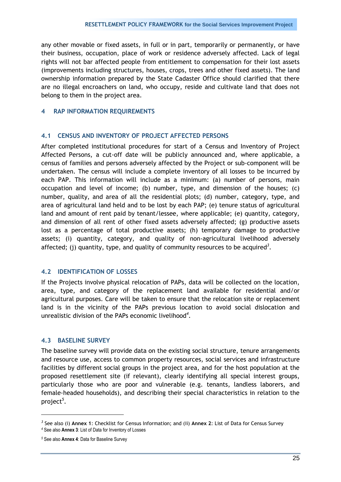any other movable or fixed assets, in full or in part, temporarily or permanently, or have their business, occupation, place of work or residence adversely affected. Lack of legal rights will not bar affected people from entitlement to compensation for their lost assets (improvements including structures, houses, crops, trees and other fixed assets). The land ownership information prepared by the State Cadaster Office should clarified that there are no illegal encroachers on land, who occupy, reside and cultivate land that does not belong to them in the project area.

### <span id="page-24-0"></span>**4 RAP INFORMATION REQUIREMENTS**

## <span id="page-24-1"></span>**4.1 CENSUS AND INVENTORY OF PROJECT AFFECTED PERSONS**

After completed institutional procedures for start of a Census and Inventory of Project Affected Persons, a cut-off date will be publicly announced and, where applicable, a census of families and persons adversely affected by the Project or sub-component will be undertaken. The census will include a complete inventory of all losses to be incurred by each PAP. This information will include as a minimum: (a) number of persons, main occupation and level of income; (b) number, type, and dimension of the houses; (c) number, quality, and area of all the residential plots; (d) number, category, type, and area of agricultural land held and to be lost by each PAP; (e) tenure status of agricultural land and amount of rent paid by tenant/lessee, where applicable; (e) quantity, category, and dimension of all rent of other fixed assets adversely affected; (g) productive assets lost as a percentage of total productive assets; (h) temporary damage to productive assets; (i) quantity, category, and quality of non-agricultural livelihood adversely affected; (j) quantity, type, and quality of community resources to be acquired*<sup>3</sup>* .

## <span id="page-24-2"></span>**4.2 IDENTIFICATION OF LOSSES**

If the Projects involve physical relocation of PAPs, data will be collected on the location, area, type, and category of the replacement land available for residential and/or agricultural purposes. Care will be taken to ensure that the relocation site or replacement land is in the vicinity of the PAPs previous location to avoid social dislocation and unrealistic division of the PAPs economic livelihood*<sup>4</sup>* .

### <span id="page-24-3"></span>**4.3 BASELINE SURVEY**

The baseline survey will provide data on the existing social structure, tenure arrangements and resource use, access to common property resources, social services and infrastructure facilities by different social groups in the project area, and for the host population at the proposed resettlement site (if relevant), clearly identifying all special interest groups, particularly those who are poor and vulnerable (e.g. tenants, landless laborers, and female-headed households), and describing their special characteristics in relation to the project*<sup>5</sup>* .

-

*<sup>3</sup>* See also (i) **Annex 1**: Checklist for Census Information; and (ii) **Annex 2**: List of Data for Census Survey *<sup>4</sup>* See also **Annex 3**: List of Data for Inventory of Losses

*<sup>5</sup>* See also **Annex 4**: Data for Baseline Survey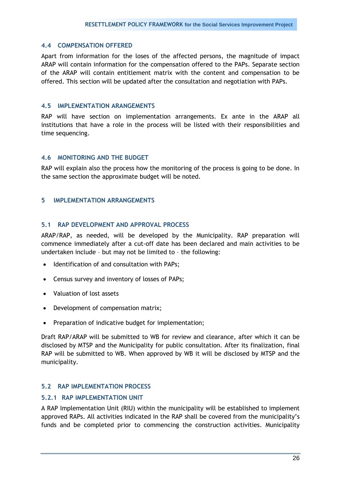#### <span id="page-25-0"></span>**4.4 COMPENSATION OFFERED**

Apart from information for the loses of the affected persons, the magnitude of impact ARAP will contain information for the compensation offered to the PAPs. Separate section of the ARAP will contain entitlement matrix with the content and compensation to be offered. This section will be updated after the consultation and negotiation with PAPs.

#### <span id="page-25-1"></span>**4.5 IMPLEMENTATION ARANGEMENTS**

RAP will have section on implementation arrangements. Ex ante in the ARAP all institutions that have a role in the process will be listed with their responsibilities and time sequencing.

### <span id="page-25-2"></span>**4.6 MONITORING AND THE BUDGET**

RAP will explain also the process how the monitoring of the process is going to be done. In the same section the approximate budget will be noted.

### <span id="page-25-4"></span><span id="page-25-3"></span>**5 IMPLEMENTATION ARRANGEMENTS**

### **5.1 RAP DEVELOPMENT AND APPROVAL PROCESS**

ARAP/RAP, as needed, will be developed by the Municipality. RAP preparation will commence immediately after a cut-off date has been declared and main activities to be undertaken include – but may not be limited to – the following:

- Identification of and consultation with PAPs;
- Census survey and inventory of losses of PAPs;
- Valuation of lost assets
- Development of compensation matrix;
- Preparation of indicative budget for implementation;

Draft RAP/ARAP will be submitted to WB for review and clearance, after which it can be disclosed by MTSP and the Municipality for public consultation. After its finalization, final RAP will be submitted to WB. When approved by WB it will be disclosed by MTSP and the municipality.

## <span id="page-25-5"></span>**5.2 RAP IMPLEMENTATION PROCESS**

## <span id="page-25-6"></span>**5.2.1 RAP IMPLEMENTATION UNIT**

A RAP Implementation Unit (RIU) within the municipality will be established to implement approved RAPs. All activities indicated in the RAP shall be covered from the municipality"s funds and be completed prior to commencing the construction activities. Municipality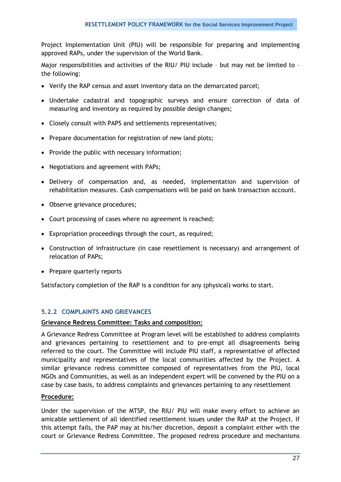Project Implementation Unit (PIU) will be responsible for preparing and implementing approved RAPs, under the supervision of the World Bank.

Major responsibilities and activities of the RIU/ PIU include - but may not be limited to the following:

- Verify the RAP census and asset inventory data on the demarcated parcel;
- Undertake cadastral and topographic surveys and ensure correction of data of measuring and inventory as required by possible design changes;
- Closely consult with PAPS and settlements representatives;
- Prepare documentation for registration of new land plots;
- Provide the public with necessary information;
- Negotiations and agreement with PAPs;
- Delivery of compensation and, as needed, implementation and supervision of rehabilitation measures. Cash compensations will be paid on bank transaction account.
- Observe grievance procedures;
- Court processing of cases where no agreement is reached;
- Expropriation proceedings through the court, as required;
- Construction of infrastructure (in case resettlement is necessary) and arrangement of relocation of PAPs;
- Prepare quarterly reports

Satisfactory completion of the RAP is a condition for any (physical) works to start.

## <span id="page-26-0"></span>**5.2.2 COMPLAINTS AND GRIEVANCES**

### **Grievance Redress Committee: Tasks and composition:**

A Grievance Redress Committee at Program level will be established to address complaints and grievances pertaining to resettlement and to pre-empt all disagreements being referred to the court. The Committee will include PIU staff, a representative of affected municipality and representatives of the local communities affected by the Project. A similar grievance redress committee composed of representatives from the PIU, local NGOs and Communities, as well as an independent expert will be convened by the PIU on a case by case basis, to address complaints and grievances pertaining to any resettlement

### **Procedure:**

Under the supervision of the MTSP, the RIU/ PIU will make every effort to achieve an amicable settlement of all identified resettlement issues under the RAP at the Project. If this attempt fails, the PAP may at his/her discretion, deposit a complaint either with the court or Grievance Redress Committee. The proposed redress procedure and mechanisms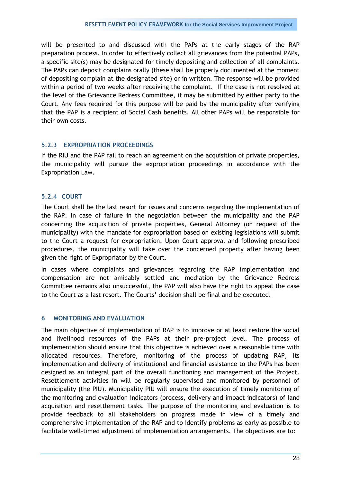will be presented to and discussed with the PAPs at the early stages of the RAP preparation process. In order to effectively collect all grievances from the potential PAPs, a specific site(s) may be designated for timely depositing and collection of all complaints. The PAPs can deposit complains orally (these shall be properly documented at the moment of depositing complain at the designated site) or in written. The response will be provided within a period of two weeks after receiving the complaint. If the case is not resolved at the level of the Grievance Redress Committee, it may be submitted by either party to the Court. Any fees required for this purpose will be paid by the municipality after verifying that the PAP is a recipient of Social Cash benefits. All other PAPs will be responsible for their own costs.

# <span id="page-27-0"></span>**5.2.3 EXPROPRIATION PROCEEDINGS**

If the RIU and the PAP fail to reach an agreement on the acquisition of private properties, the municipality will pursue the expropriation proceedings in accordance with the Expropriation Law.

# <span id="page-27-1"></span>**5.2.4 COURT**

The Court shall be the last resort for issues and concerns regarding the implementation of the RAP. In case of failure in the negotiation between the municipality and the PAP concerning the acquisition of private properties, General Attorney (on request of the municipality) with the mandate for expropriation based on existing legislations will submit to the Court a request for expropriation. Upon Court approval and following prescribed procedures, the municipality will take over the concerned property after having been given the right of Expropriator by the Court.

In cases where complaints and grievances regarding the RAP implementation and compensation are not amicably settled and mediation by the Grievance Redress Committee remains also unsuccessful, the PAP will also have the right to appeal the case to the Court as a last resort. The Courts" decision shall be final and be executed.

# <span id="page-27-2"></span>**6 MONITORING AND EVALUATION**

The main objective of implementation of RAP is to improve or at least restore the social and livelihood resources of the PAPs at their pre-project level. The process of implementation should ensure that this objective is achieved over a reasonable time with allocated resources. Therefore, monitoring of the process of updating RAP, its implementation and delivery of institutional and financial assistance to the PAPs has been designed as an integral part of the overall functioning and management of the Project. Resettlement activities in will be regularly supervised and monitored by personnel of municipality (the PIU). Municipality PIU will ensure the execution of timely monitoring of the monitoring and evaluation indicators (process, delivery and impact indicators) of land acquisition and resettlement tasks. The purpose of the monitoring and evaluation is to provide feedback to all stakeholders on progress made in view of a timely and comprehensive implementation of the RAP and to identify problems as early as possible to facilitate well-timed adjustment of implementation arrangements. The objectives are to: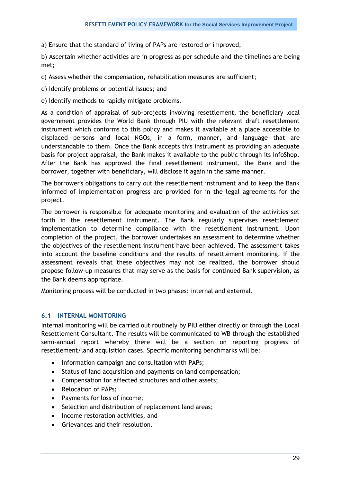a) Ensure that the standard of living of PAPs are restored or improved;

b) Ascertain whether activities are in progress as per schedule and the timelines are being met;

c) Assess whether the compensation, rehabilitation measures are sufficient;

d) Identify problems or potential issues; and

e) Identify methods to rapidly mitigate problems.

As a condition of appraisal of sub-projects involving resettlement, the beneficiary local government provides the World Bank through PIU with the relevant draft resettlement instrument which conforms to this policy and makes it available at a place accessible to displaced persons and local NGOs, in a form, manner, and language that are understandable to them. Once the Bank accepts this instrument as providing an adequate basis for project appraisal, the Bank makes it available to the public through its InfoShop. After the Bank has approved the final resettlement instrument, the Bank and the borrower, together with beneficiary, will disclose it again in the same manner.

The borrower's obligations to carry out the resettlement instrument and to keep the Bank informed of implementation progress are provided for in the legal agreements for the project.

The borrower is responsible for adequate monitoring and evaluation of the activities set forth in the resettlement instrument. The Bank regularly supervises resettlement implementation to determine compliance with the resettlement instrument. Upon completion of the project, the borrower undertakes an assessment to determine whether the objectives of the resettlement instrument have been achieved. The assessment takes into account the baseline conditions and the results of resettlement monitoring. If the assessment reveals that these objectives may not be realized, the borrower should propose follow-up measures that may serve as the basis for continued Bank supervision, as the Bank deems appropriate.

<span id="page-28-0"></span>Monitoring process will be conducted in two phases: internal and external.

## **6.1 INTERNAL MONITORING**

Internal monitoring will be carried out routinely by PIU either directly or through the Local Resettlement Consultant. The results will be communicated to WB through the established semi-annual report whereby there will be a section on reporting progress of resettlement/land acquisition cases. Specific monitoring benchmarks will be:

- Information campaign and consultation with PAPs;
- Status of land acquisition and payments on land compensation;
- Compensation for affected structures and other assets;
- Relocation of PAPs;
- Payments for loss of income;
- Selection and distribution of replacement land areas:
- Income restoration activities, and
- Grievances and their resolution.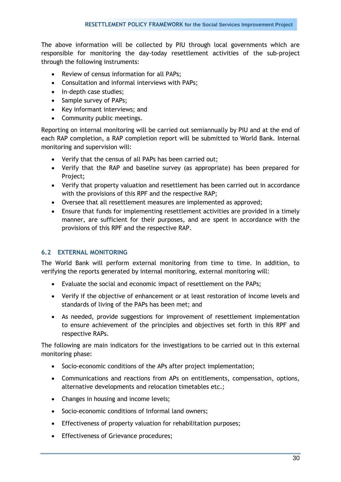The above information will be collected by PIU through local governments which are responsible for monitoring the day-today resettlement activities of the sub-project through the following instruments:

- Review of census information for all PAPs;
- Consultation and informal interviews with PAPs;
- In-depth case studies:
- Sample survey of PAPs:
- Key informant interviews; and
- Community public meetings.

Reporting on internal monitoring will be carried out semiannually by PIU and at the end of each RAP completion, a RAP completion report will be submitted to World Bank. Internal monitoring and supervision will:

- Verify that the census of all PAPs has been carried out;
- Verify that the RAP and baseline survey (as appropriate) has been prepared for Project;
- Verify that property valuation and resettlement has been carried out in accordance with the provisions of this RPF and the respective RAP;
- Oversee that all resettlement measures are implemented as approved;
- Ensure that funds for implementing resettlement activities are provided in a timely manner, are sufficient for their purposes, and are spent in accordance with the provisions of this RPF and the respective RAP.

### <span id="page-29-0"></span>**6.2 EXTERNAL MONITORING**

The World Bank will perform external monitoring from time to time. In addition, to verifying the reports generated by internal monitoring, external monitoring will:

- Evaluate the social and economic impact of resettlement on the PAPs;
- Verify if the objective of enhancement or at least restoration of income levels and standards of living of the PAPs has been met; and
- As needed, provide suggestions for improvement of resettlement implementation to ensure achievement of the principles and objectives set forth in this RPF and respective RAPs.

The following are main indicators for the investigations to be carried out in this external monitoring phase:

- Socio-economic conditions of the APs after project implementation;
- Communications and reactions from APs on entitlements, compensation, options, alternative developments and relocation timetables etc.;
- Changes in housing and income levels;
- Socio-economic conditions of Informal land owners;
- Effectiveness of property valuation for rehabilitation purposes;
- **•** Effectiveness of Grievance procedures;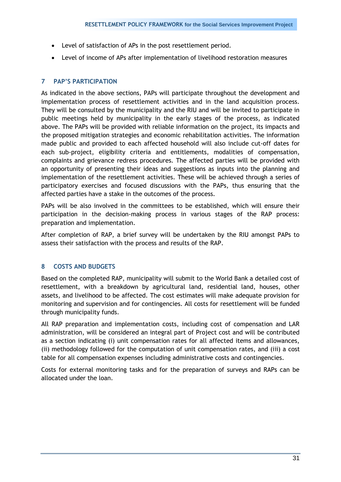- Level of satisfaction of APs in the post resettlement period.
- Level of income of APs after implementation of livelihood restoration measures

## <span id="page-30-0"></span>**7 PAP'S PARTICIPATION**

As indicated in the above sections, PAPs will participate throughout the development and implementation process of resettlement activities and in the land acquisition process. They will be consulted by the municipality and the RIU and will be invited to participate in public meetings held by municipality in the early stages of the process, as indicated above. The PAPs will be provided with reliable information on the project, its impacts and the proposed mitigation strategies and economic rehabilitation activities. The information made public and provided to each affected household will also include cut-off dates for each sub-project, eligibility criteria and entitlements, modalities of compensation, complaints and grievance redress procedures. The affected parties will be provided with an opportunity of presenting their ideas and suggestions as inputs into the planning and implementation of the resettlement activities. These will be achieved through a series of participatory exercises and focused discussions with the PAPs, thus ensuring that the affected parties have a stake in the outcomes of the process.

PAPs will be also involved in the committees to be established, which will ensure their participation in the decision-making process in various stages of the RAP process: preparation and implementation.

After completion of RAP, a brief survey will be undertaken by the RIU amongst PAPs to assess their satisfaction with the process and results of the RAP.

## <span id="page-30-1"></span>**8 COSTS AND BUDGETS**

Based on the completed RAP, municipality will submit to the World Bank a detailed cost of resettlement, with a breakdown by agricultural land, residential land, houses, other assets, and livelihood to be affected. The cost estimates will make adequate provision for monitoring and supervision and for contingencies. All costs for resettlement will be funded through municipality funds.

All RAP preparation and implementation costs, including cost of compensation and LAR administration, will be considered an integral part of Project cost and will be contributed as a section indicating (i) unit compensation rates for all affected items and allowances, (ii) methodology followed for the computation of unit compensation rates, and (iii) a cost table for all compensation expenses including administrative costs and contingencies.

Costs for external monitoring tasks and for the preparation of surveys and RAPs can be allocated under the loan.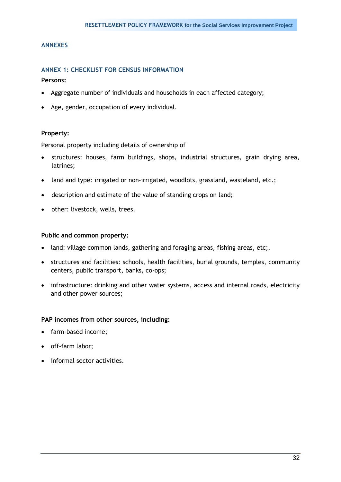#### <span id="page-31-1"></span><span id="page-31-0"></span>**ANNEXES**

#### **ANNEX 1: CHECKLIST FOR CENSUS INFORMATION**

**Persons:**

- Aggregate number of individuals and households in each affected category;
- Age, gender, occupation of every individual.

#### **Property:**

Personal property including details of ownership of

- structures: houses, farm buildings, shops, industrial structures, grain drying area, latrines;
- land and type: irrigated or non-irrigated, woodlots, grassland, wasteland, etc.;
- description and estimate of the value of standing crops on land;
- other: livestock, wells, trees.

#### **Public and common property:**

- land: village common lands, gathering and foraging areas, fishing areas, etc;.
- structures and facilities: schools, health facilities, burial grounds, temples, community centers, public transport, banks, co-ops;
- infrastructure: drinking and other water systems, access and internal roads, electricity and other power sources;

#### **PAP incomes from other sources, including:**

- farm-based income;
- off-farm labor;
- informal sector activities.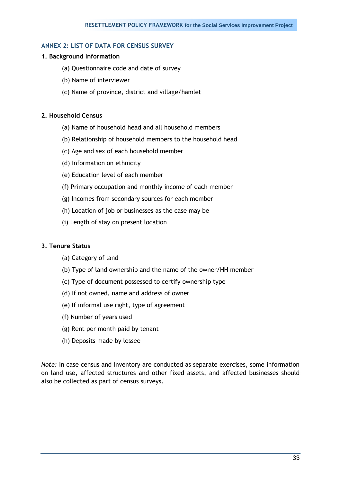## <span id="page-32-0"></span>**ANNEX 2: LIST OF DATA FOR CENSUS SURVEY**

## **1. Background Information**

- (a) Questionnaire code and date of survey
- (b) Name of interviewer
- (c) Name of province, district and village/hamlet

## **2. Household Census**

- (a) Name of household head and all household members
- (b) Relationship of household members to the household head
- (c) Age and sex of each household member
- (d) Information on ethnicity
- (e) Education level of each member
- (f) Primary occupation and monthly income of each member
- (g) Incomes from secondary sources for each member
- (h) Location of job or businesses as the case may be
- (i) Length of stay on present location

### **3. Tenure Status**

- (a) Category of land
- (b) Type of land ownership and the name of the owner/HH member
- (c) Type of document possessed to certify ownership type
- (d) If not owned, name and address of owner
- (e) If informal use right, type of agreement
- (f) Number of years used
- (g) Rent per month paid by tenant
- (h) Deposits made by lessee

*Note:* In case census and inventory are conducted as separate exercises, some information on land use, affected structures and other fixed assets, and affected businesses should also be collected as part of census surveys.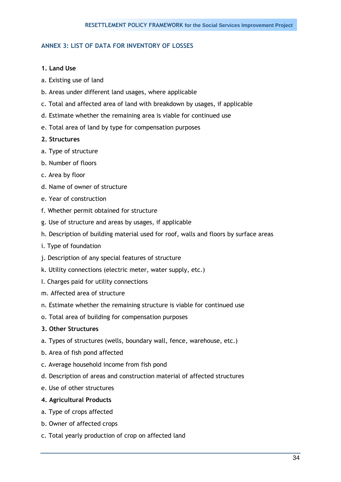## <span id="page-33-0"></span>**ANNEX 3: LIST OF DATA FOR INVENTORY OF LOSSES**

#### **1. Land Use**

- a. Existing use of land
- b. Areas under different land usages, where applicable
- c. Total and affected area of land with breakdown by usages, if applicable
- d. Estimate whether the remaining area is viable for continued use
- e. Total area of land by type for compensation purposes

#### **2. Structures**

- a. Type of structure
- b. Number of floors
- c. Area by floor
- d. Name of owner of structure
- e. Year of construction
- f. Whether permit obtained for structure
- g. Use of structure and areas by usages, if applicable
- h. Description of building material used for roof, walls and floors by surface areas
- i. Type of foundation
- j. Description of any special features of structure
- k. Utility connections (electric meter, water supply, etc.)
- I. Charges paid for utility connections
- m. Affected area of structure
- n. Estimate whether the remaining structure is viable for continued use
- o. Total area of building for compensation purposes

#### **3. Other Structures**

- a. Types of structures (wells, boundary wall, fence, warehouse, etc.)
- b. Area of fish pond affected
- c. Average household income from fish pond
- d. Description of areas and construction material of affected structures
- e. Use of other structures

### **4. Agricultural Products**

- a. Type of crops affected
- b. Owner of affected crops
- c. Total yearly production of crop on affected land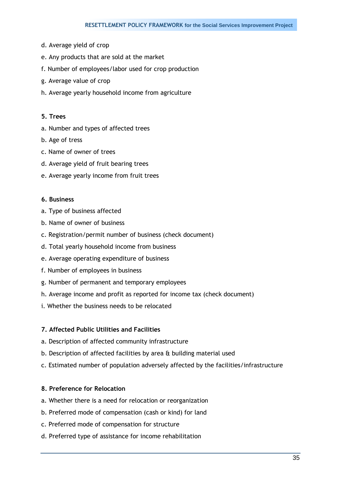- d. Average yield of crop
- e. Any products that are sold at the market
- f. Number of employees/labor used for crop production
- g. Average value of crop
- h. Average yearly household income from agriculture

#### **5. Trees**

- a. Number and types of affected trees
- b. Age of tress
- c. Name of owner of trees
- d. Average yield of fruit bearing trees
- e. Average yearly income from fruit trees

#### **6. Business**

- a. Type of business affected
- b. Name of owner of business
- c. Registration/permit number of business (check document)
- d. Total yearly household income from business
- e. Average operating expenditure of business
- f. Number of employees in business
- g. Number of permanent and temporary employees
- h. Average income and profit as reported for income tax (check document)
- i. Whether the business needs to be relocated

## **7. Affected Public Utilities and Facilities**

- a. Description of affected community infrastructure
- b. Description of affected facilities by area & building material used
- c. Estimated number of population adversely affected by the facilities/infrastructure

## **8. Preference for Relocation**

- a. Whether there is a need for relocation or reorganization
- b. Preferred mode of compensation (cash or kind) for land
- c. Preferred mode of compensation for structure
- d. Preferred type of assistance for income rehabilitation